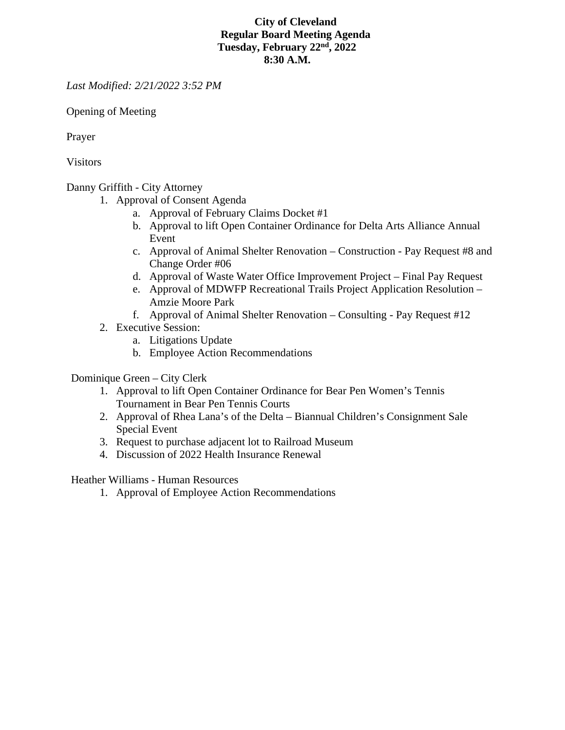## **City of Cleveland Regular Board Meeting Agenda Tuesday, February 22nd, 2022 8:30 A.M.**

*Last Modified: 2/21/2022 3:52 PM*

Opening of Meeting

Prayer

Visitors

Danny Griffith - City Attorney

- 1. Approval of Consent Agenda
	- a. Approval of February Claims Docket #1
	- b. Approval to lift Open Container Ordinance for Delta Arts Alliance Annual Event
	- c. Approval of Animal Shelter Renovation Construction Pay Request #8 and Change Order #06
	- d. Approval of Waste Water Office Improvement Project Final Pay Request
	- e. Approval of MDWFP Recreational Trails Project Application Resolution Amzie Moore Park
	- f. Approval of Animal Shelter Renovation Consulting Pay Request #12
- 2. Executive Session:
	- a. Litigations Update
	- b. Employee Action Recommendations

Dominique Green – City Clerk

- 1. Approval to lift Open Container Ordinance for Bear Pen Women's Tennis Tournament in Bear Pen Tennis Courts
- 2. Approval of Rhea Lana's of the Delta Biannual Children's Consignment Sale Special Event
- 3. Request to purchase adjacent lot to Railroad Museum
- 4. Discussion of 2022 Health Insurance Renewal

Heather Williams - Human Resources

1. Approval of Employee Action Recommendations